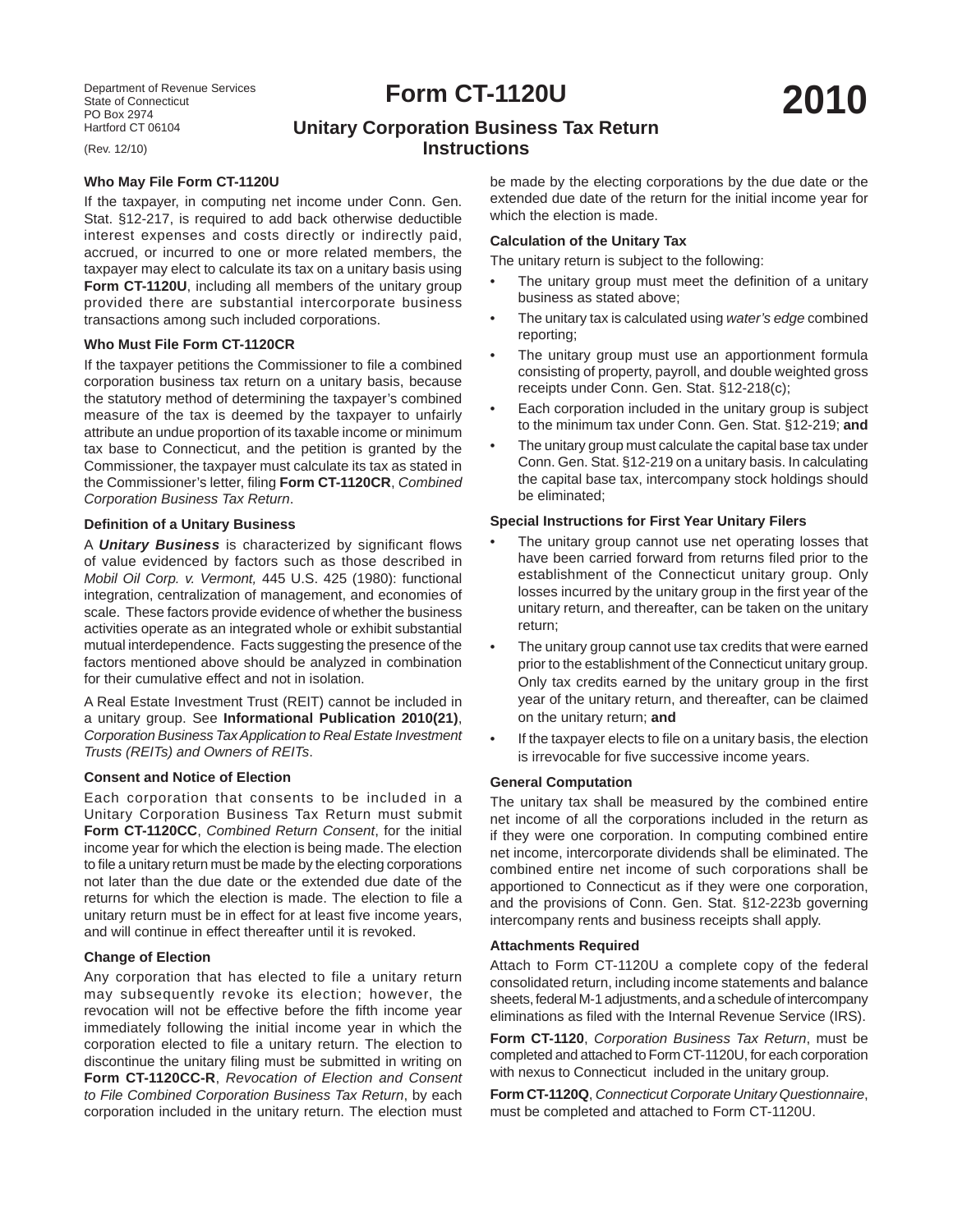Department of Revenue Services State of Connecticut PO Box 2974 Hartford CT 06104

(Rev. 12/10)

# **Form CT-1120U**

# **Unitary Corporation Business Tax Return Instructions**

# **Who May File Form CT-1120U**

If the taxpayer, in computing net income under Conn. Gen. Stat. §12-217, is required to add back otherwise deductible interest expenses and costs directly or indirectly paid, accrued, or incurred to one or more related members, the taxpayer may elect to calculate its tax on a unitary basis using **Form CT-1120U**, including all members of the unitary group provided there are substantial intercorporate business transactions among such included corporations.

#### **Who Must File Form CT-1120CR**

If the taxpayer petitions the Commissioner to file a combined corporation business tax return on a unitary basis, because the statutory method of determining the taxpayer's combined measure of the tax is deemed by the taxpayer to unfairly attribute an undue proportion of its taxable income or minimum tax base to Connecticut, and the petition is granted by the Commissioner, the taxpayer must calculate its tax as stated in the Commissioner's letter, filing Form CT-1120CR, *Combined Corporation Business Tax Return*.

#### **Defi nition of a Unitary Business**

A **Unitary Business** is characterized by significant flows of value evidenced by factors such as those described in *Mobil Oil Corp. v. Vermont,* 445 U.S. 425 (1980): functional integration, centralization of management, and economies of scale. These factors provide evidence of whether the business activities operate as an integrated whole or exhibit substantial mutual interdependence. Facts suggesting the presence of the factors mentioned above should be analyzed in combination for their cumulative effect and not in isolation.

A Real Estate Investment Trust (REIT) cannot be included in a unitary group. See **Informational Publication 2010(21)**, *Corporation Business Tax Application to Real Estate Investment Trusts (REITs) and Owners of REITs*.

# **Consent and Notice of Election**

Each corporation that consents to be included in a Unitary Corporation Business Tax Return must submit **Form CT-1120CC**, *Combined Return Consent*, for the initial income year for which the election is being made. The election to file a unitary return must be made by the electing corporations not later than the due date or the extended due date of the returns for which the election is made. The election to file a unitary return must be in effect for at least five income years, and will continue in effect thereafter until it is revoked.

# **Change of Election**

Any corporation that has elected to file a unitary return may subsequently revoke its election; however, the revocation will not be effective before the fifth income year immediately following the initial income year in which the corporation elected to file a unitary return. The election to discontinue the unitary filing must be submitted in writing on **Form CT-1120CC-R**, *Revocation of Election and Consent to File Combined Corporation Business Tax Return*, by each corporation included in the unitary return. The election must

be made by the electing corporations by the due date or the extended due date of the return for the initial income year for which the election is made.

# **Calculation of the Unitary Tax**

The unitary return is subject to the following:

- The unitary group must meet the definition of a unitary business as stated above;
- The unitary tax is calculated using *water's edge* combined reporting;
- The unitary group must use an apportionment formula consisting of property, payroll, and double weighted gross receipts under Conn. Gen. Stat. §12-218(c);
- Each corporation included in the unitary group is subject to the minimum tax under Conn. Gen. Stat. §12-219; **and**
- The unitary group must calculate the capital base tax under Conn. Gen. Stat. §12-219 on a unitary basis. In calculating the capital base tax, intercompany stock holdings should be eliminated;

# **Special Instructions for First Year Unitary Filers**

- The unitary group cannot use net operating losses that have been carried forward from returns filed prior to the establishment of the Connecticut unitary group. Only losses incurred by the unitary group in the first year of the unitary return, and thereafter, can be taken on the unitary return;
- The unitary group cannot use tax credits that were earned prior to the establishment of the Connecticut unitary group. Only tax credits earned by the unitary group in the first year of the unitary return, and thereafter, can be claimed on the unitary return; **and**
- If the taxpayer elects to file on a unitary basis, the election is irrevocable for five successive income years.

#### **General Computation**

The unitary tax shall be measured by the combined entire net income of all the corporations included in the return as if they were one corporation. In computing combined entire net income, intercorporate dividends shall be eliminated. The combined entire net income of such corporations shall be apportioned to Connecticut as if they were one corporation, and the provisions of Conn. Gen. Stat. §12-223b governing intercompany rents and business receipts shall apply.

#### **Attachments Required**

Attach to Form CT-1120U a complete copy of the federal consolidated return, including income statements and balance sheets, federal M-1 adjustments, and a schedule of intercompany eliminations as filed with the Internal Revenue Service (IRS).

**Form CT-1120**, *Corporation Business Tax Return*, must be completed and attached to Form CT-1120U, for each corporation with nexus to Connecticut included in the unitary group.

**Form CT-1120Q**, *Connecticut Corporate Unitary Questionnaire*, must be completed and attached to Form CT-1120U.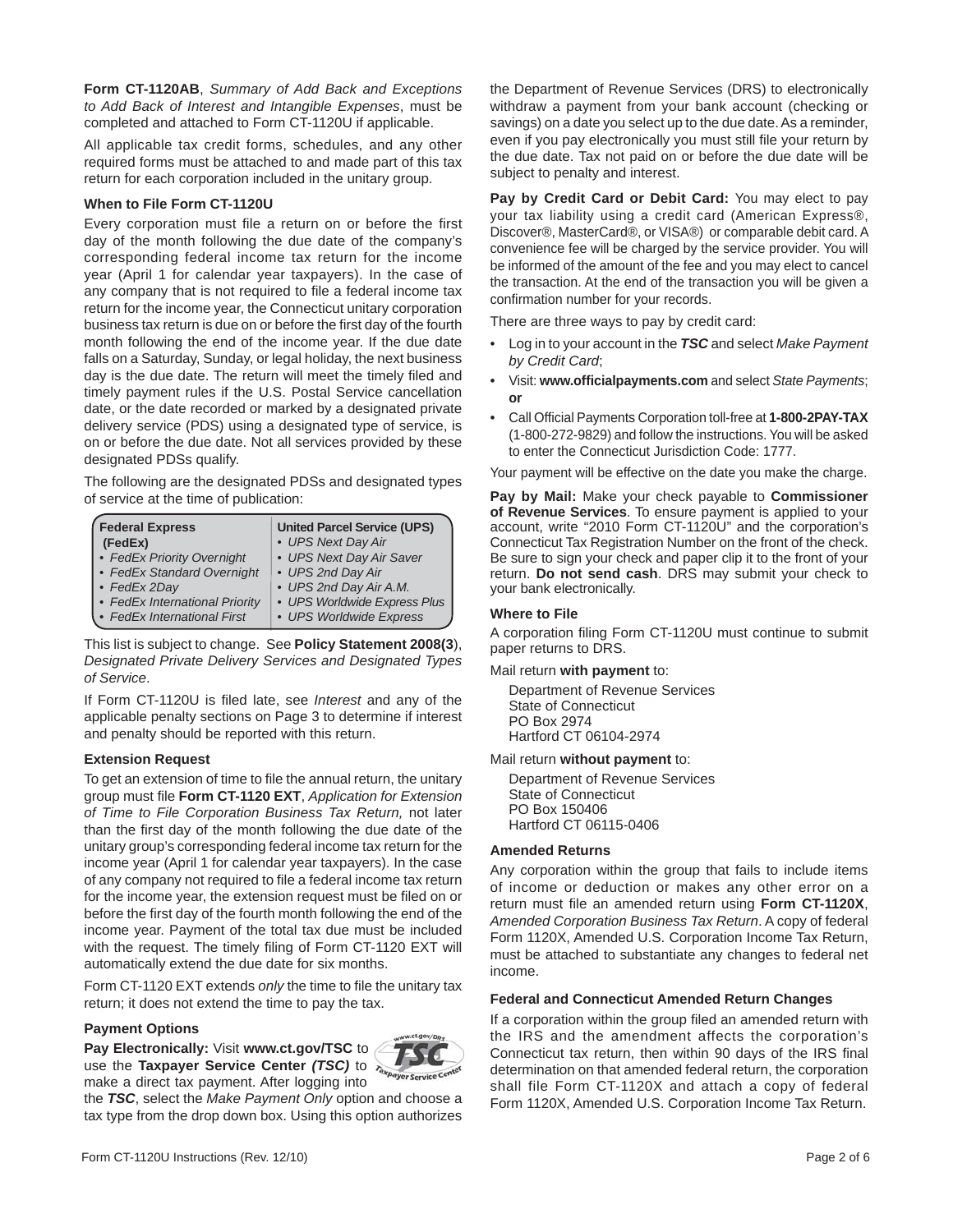**Form CT-1120AB**, *Summary of Add Back and Exceptions to Add Back of Interest and Intangible Expenses*, must be completed and attached to Form CT-1120U if applicable.

All applicable tax credit forms, schedules, and any other required forms must be attached to and made part of this tax return for each corporation included in the unitary group.

# **When to File Form CT-1120U**

Every corporation must file a return on or before the first day of the month following the due date of the company's corresponding federal income tax return for the income year (April 1 for calendar year taxpayers). In the case of any company that is not required to file a federal income tax return for the income year, the Connecticut unitary corporation business tax return is due on or before the first day of the fourth month following the end of the income year. If the due date falls on a Saturday, Sunday, or legal holiday, the next business day is the due date. The return will meet the timely filed and timely payment rules if the U.S. Postal Service cancellation date, or the date recorded or marked by a designated private delivery service (PDS) using a designated type of service, is on or before the due date. Not all services provided by these designated PDSs qualify.

The following are the designated PDSs and designated types of service at the time of publication:

| <b>Federal Express</b>         | <b>United Parcel Service (UPS)</b> |
|--------------------------------|------------------------------------|
| (FedEx)                        | • UPS Next Day Air                 |
| • FedEx Priority Overnight     | • UPS Next Day Air Saver           |
| • FedEx Standard Overnight     | • UPS 2nd Day Air                  |
| • FedEx 2Day                   | • UPS 2nd Day Air A.M.             |
| • FedEx International Priority | • UPS Worldwide Express Plus       |
| • FedEx International First    | • UPS Worldwide Express            |

This list is subject to change. See **Policy Statement 2008(3**), *Designated Private Delivery Services and Designated Types of Service*.

If Form CT-1120U is filed late, see *Interest* and any of the applicable penalty sections on Page 3 to determine if interest and penalty should be reported with this return.

# **Extension Request**

To get an extension of time to file the annual return, the unitary group must file Form CT-1120 EXT, *Application for Extension of Time to File Corporation Business Tax Return,* not later than the first day of the month following the due date of the unitary group's corresponding federal income tax return for the income year (April 1 for calendar year taxpayers). In the case of any company not required to file a federal income tax return for the income year, the extension request must be filed on or before the first day of the fourth month following the end of the income year. Payment of the total tax due must be included with the request. The timely filing of Form CT-1120 EXT will automatically extend the due date for six months.

Form CT-1120 EXT extends *only* the time to file the unitary tax return; it does not extend the time to pay the tax.

#### **Payment Options**

**Pay Electronically:** Visit **www.ct.gov/TSC** to use the **Taxpayer Service Center** *(TSC)* to make a direct tax payment. After logging into



the *TSC*, select the *Make Payment Only* option and choose a tax type from the drop down box. Using this option authorizes the Department of Revenue Services (DRS) to electronically withdraw a payment from your bank account (checking or savings) on a date you select up to the due date. As a reminder, even if you pay electronically you must still file your return by the due date. Tax not paid on or before the due date will be subject to penalty and interest.

**Pay by Credit Card or Debit Card:** You may elect to pay your tax liability using a credit card (American Express®, Discover®, MasterCard®, or VISA®) or comparable debit card. A convenience fee will be charged by the service provider. You will be informed of the amount of the fee and you may elect to cancel the transaction. At the end of the transaction you will be given a confirmation number for your records.

There are three ways to pay by credit card:

- Log in to your account in the *TSC* and select *Make Payment by Credit Card*;
- Visit: **www.offi cialpayments.com** and select *State Payments*; **or**
- Call Official Payments Corporation toll-free at 1-800-2PAY-TAX (1-800-272-9829) and follow the instructions. You will be asked to enter the Connecticut Jurisdiction Code: 1777.

Your payment will be effective on the date you make the charge.

**Pay by Mail:** Make your check payable to **Commissioner of Revenue Services**. To ensure payment is applied to your account, write "2010 Form CT-1120U" and the corporation's Connecticut Tax Registration Number on the front of the check. Be sure to sign your check and paper clip it to the front of your return. **Do not send cash**. DRS may submit your check to your bank electronically.

# **Where to File**

A corporation filing Form CT-1120U must continue to submit paper returns to DRS.

Mail return **with payment** to:

 Department of Revenue Services State of Connecticut PO Box 2974 Hartford CT 06104-2974

Mail return **without payment** to:

 Department of Revenue Services State of Connecticut PO Box 150406 Hartford CT 06115-0406

#### **Amended Returns**

Any corporation within the group that fails to include items of income or deduction or makes any other error on a return must file an amended return using Form CT-1120X, *Amended Corporation Business Tax Return*. A copy of federal Form 1120X, Amended U.S. Corporation Income Tax Return, must be attached to substantiate any changes to federal net income.

# **Federal and Connecticut Amended Return Changes**

If a corporation within the group filed an amended return with the IRS and the amendment affects the corporation's Connecticut tax return, then within 90 days of the IRS final determination on that amended federal return, the corporation shall file Form CT-1120X and attach a copy of federal Form 1120X, Amended U.S. Corporation Income Tax Return.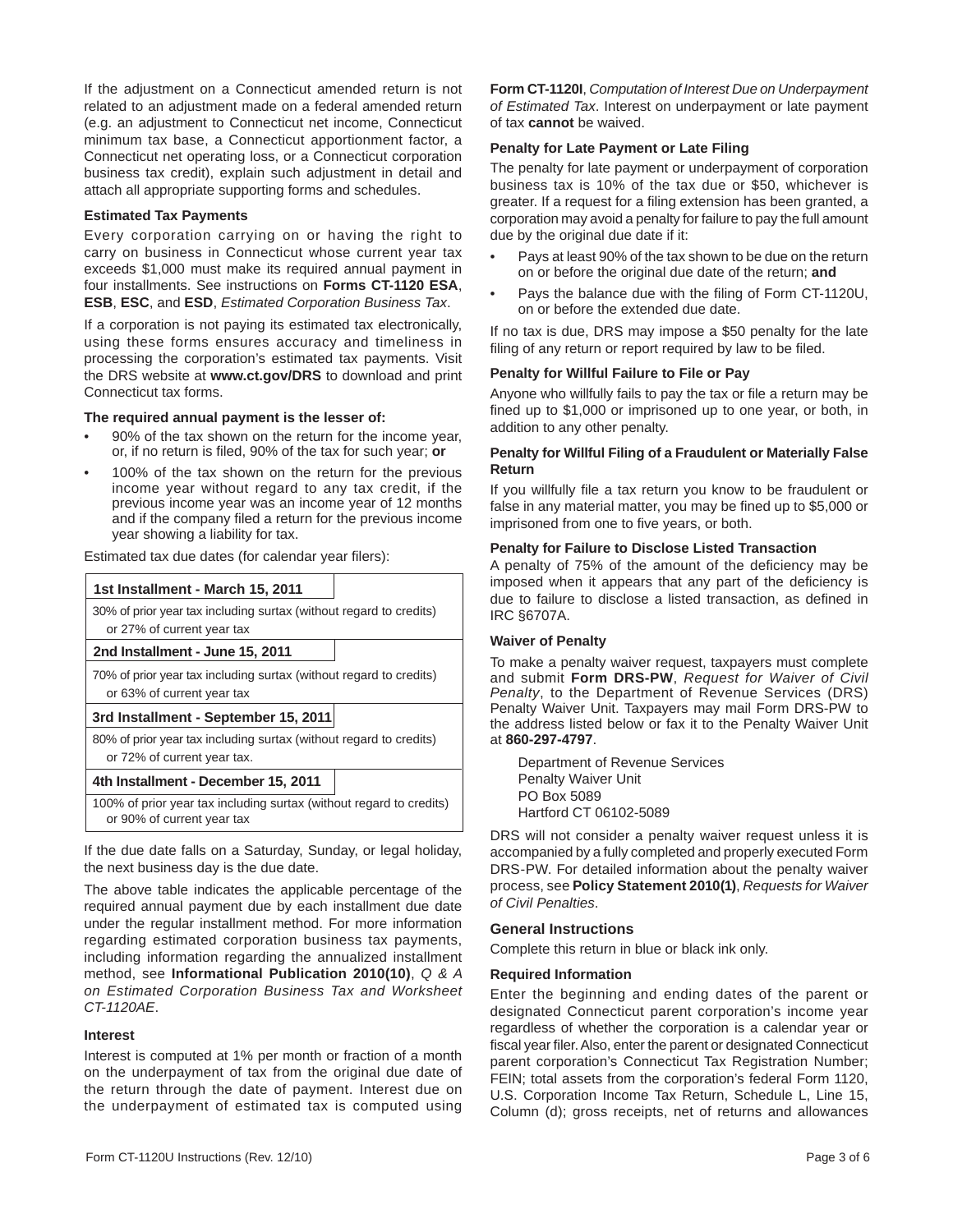If the adjustment on a Connecticut amended return is not related to an adjustment made on a federal amended return (e.g. an adjustment to Connecticut net income, Connecticut minimum tax base, a Connecticut apportionment factor, a Connecticut net operating loss, or a Connecticut corporation business tax credit), explain such adjustment in detail and attach all appropriate supporting forms and schedules.

#### **Estimated Tax Payments**

Every corporation carrying on or having the right to carry on business in Connecticut whose current year tax exceeds \$1,000 must make its required annual payment in four installments. See instructions on **Forms CT-1120 ESA**, **ESB**, **ESC**, and **ESD**, *Estimated Corporation Business Tax*.

If a corporation is not paying its estimated tax electronically, using these forms ensures accuracy and timeliness in processing the corporation's estimated tax payments. Visit the DRS website at **www.ct.gov/DRS** to download and print Connecticut tax forms.

#### **The required annual payment is the lesser of:**

- 90% of the tax shown on the return for the income year, or, if no return is filed, 90% of the tax for such year; **or**
- 100% of the tax shown on the return for the previous income year without regard to any tax credit, if the previous income year was an income year of 12 months and if the company filed a return for the previous income year showing a liability for tax.

Estimated tax due dates (for calendar year fi lers):

| sumated tax que dates (for calendar year mers).                                                   |  |  |
|---------------------------------------------------------------------------------------------------|--|--|
| 1st Installment - March 15, 2011                                                                  |  |  |
| 30% of prior year tax including surtax (without regard to credits)<br>or 27% of current year tax  |  |  |
| 2nd Installment - June 15, 2011                                                                   |  |  |
| 70% of prior year tax including surtax (without regard to credits)<br>or 63% of current year tax  |  |  |
| 3rd Installment - September 15, 2011                                                              |  |  |
| 80% of prior year tax including surtax (without regard to credits)<br>or 72% of current year tax. |  |  |

# **4th Installment - December 15, 2011**

100% of prior year tax including surtax (without regard to credits) or 90% of current year tax

If the due date falls on a Saturday, Sunday, or legal holiday, the next business day is the due date.

The above table indicates the applicable percentage of the required annual payment due by each installment due date under the regular installment method. For more information regarding estimated corporation business tax payments, including information regarding the annualized installment method, see **Informational Publication 2010(10)**, *Q & A on Estimated Corporation Business Tax and Worksheet CT-1120AE*.

#### **Interest**

Interest is computed at 1% per month or fraction of a month on the underpayment of tax from the original due date of the return through the date of payment. Interest due on the underpayment of estimated tax is computed using

Form CT-1120U Instructions (Rev. 12/10) **Page 3 of 6** Page 3 of 6

**Form CT-1120I**, *Computation of Interest Due on Underpayment of Estimated Tax*. Interest on underpayment or late payment of tax **cannot** be waived.

#### **Penalty for Late Payment or Late Filing**

The penalty for late payment or underpayment of corporation business tax is 10% of the tax due or \$50, whichever is greater. If a request for a filing extension has been granted, a corporation may avoid a penalty for failure to pay the full amount due by the original due date if it:

- Pays at least 90% of the tax shown to be due on the return on or before the original due date of the return; **and**
- Pays the balance due with the filing of Form CT-1120U, on or before the extended due date.

If no tax is due, DRS may impose a \$50 penalty for the late filing of any return or report required by law to be filed.

#### **Penalty for Willful Failure to File or Pay**

Anyone who willfully fails to pay the tax or file a return may be fined up to \$1,000 or imprisoned up to one year, or both, in addition to any other penalty.

# **Penalty for Willful Filing of a Fraudulent or Materially False Return**

If you willfully file a tax return you know to be fraudulent or false in any material matter, you may be fined up to \$5,000 or imprisoned from one to five years, or both.

# **Penalty for Failure to Disclose Listed Transaction**

A penalty of 75% of the amount of the deficiency may be imposed when it appears that any part of the deficiency is due to failure to disclose a listed transaction, as defined in IRC §6707A.

# **Waiver of Penalty**

To make a penalty waiver request, taxpayers must complete and submit **Form DRS-PW**, *Request for Waiver of Civil Penalty*, to the Department of Revenue Services (DRS) Penalty Waiver Unit. Taxpayers may mail Form DRS-PW to the address listed below or fax it to the Penalty Waiver Unit at **860-297-4797**.

 Department of Revenue Services Penalty Waiver Unit PO Box 5089 Hartford CT 06102-5089

DRS will not consider a penalty waiver request unless it is accompanied by a fully completed and properly executed Form DRS-PW. For detailed information about the penalty waiver process, see **Policy Statement 2010(1)**, *Requests for Waiver of Civil Penalties*.

# **General Instructions**

Complete this return in blue or black ink only.

#### **Required Information**

Enter the beginning and ending dates of the parent or designated Connecticut parent corporation's income year regardless of whether the corporation is a calendar year or fiscal year filer. Also, enter the parent or designated Connecticut parent corporation's Connecticut Tax Registration Number; FEIN; total assets from the corporation's federal Form 1120, U.S. Corporation Income Tax Return, Schedule L, Line 15, Column (d); gross receipts, net of returns and allowances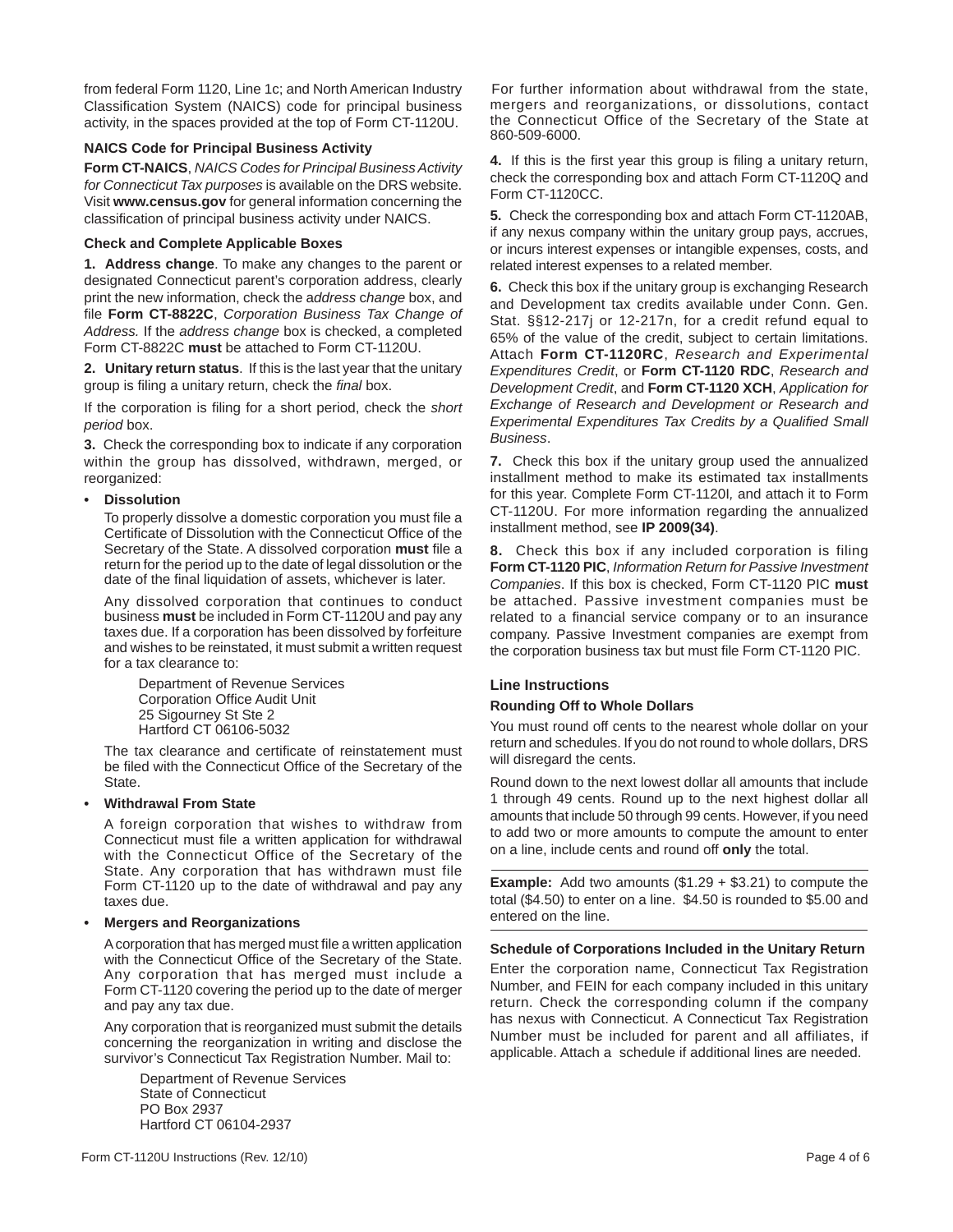from federal Form 1120, Line 1c; and North American Industry Classification System (NAICS) code for principal business activity, in the spaces provided at the top of Form CT-1120U.

# **NAICS Code for Principal Business Activity**

**Form CT-NAICS**, *NAICS Codes for Principal Business Activity for Connecticut Tax purposes* is available on the DRS website. Visit **www.census.gov** for general information concerning the classification of principal business activity under NAICS.

# **Check and Complete Applicable Boxes**

**1. Address change**. To make any changes to the parent or designated Connecticut parent's corporation address, clearly print the new information, check the a*ddress* c*hange* box, and file Form CT-8822C, Corporation Business Tax Change of *Address.* If the *address change* box is checked, a completed Form CT-8822C **must** be attached to Form CT-1120U.

**2. Unitary return status**. If this is the last year that the unitary group is filing a unitary return, check the *final* box.

If the corporation is filing for a short period, check the *short period* box.

**3.** Check the corresponding box to indicate if any corporation within the group has dissolved, withdrawn, merged, or reorganized:

#### **• Dissolution**

To properly dissolve a domestic corporation you must file a Certificate of Dissolution with the Connecticut Office of the Secretary of the State. A dissolved corporation **must** file a return for the period up to the date of legal dissolution or the date of the final liquidation of assets, whichever is later.

 Any dissolved corporation that continues to conduct business **must** be included in Form CT-1120U and pay any taxes due. If a corporation has been dissolved by forfeiture and wishes to be reinstated, it must submit a written request for a tax clearance to:

 Department of Revenue Services Corporation Office Audit Unit 25 Sigourney St Ste 2 Hartford CT 06106-5032

The tax clearance and certificate of reinstatement must be filed with the Connecticut Office of the Secretary of the **State** 

# **• Withdrawal From State**

 A foreign corporation that wishes to withdraw from Connecticut must file a written application for withdrawal with the Connecticut Office of the Secretary of the State. Any corporation that has withdrawn must file Form CT-1120 up to the date of withdrawal and pay any taxes due.

#### **• Mergers and Reorganizations**

A corporation that has merged must file a written application with the Connecticut Office of the Secretary of the State. Any corporation that has merged must include a Form CT-1120 covering the period up to the date of merger and pay any tax due.

 Any corporation that is reorganized must submit the details concerning the reorganization in writing and disclose the survivor's Connecticut Tax Registration Number. Mail to:

 Department of Revenue Services State of Connecticut PO Box 2937 Hartford CT 06104-2937

For further information about withdrawal from the state, mergers and reorganizations, or dissolutions, contact the Connecticut Office of the Secretary of the State at 860-509-6000.

**4.** If this is the first year this group is filing a unitary return, check the corresponding box and attach Form CT-1120Q and Form CT-1120CC.

**5.** Check the corresponding box and attach Form CT-1120AB, if any nexus company within the unitary group pays, accrues, or incurs interest expenses or intangible expenses, costs, and related interest expenses to a related member.

**6.**Check this box if the unitary group is exchanging Research and Development tax credits available under Conn. Gen. Stat. §§12-217j or 12-217n, for a credit refund equal to 65% of the value of the credit, subject to certain limitations. Attach **Form CT-1120RC**, *Research and Experimental Expenditures Credit*, or **Form CT-1120 RDC**, *Research and Development Credit*, and **Form CT-1120 XCH**, *Application for Exchange of Research and Development or Research and*  **Experimental Expenditures Tax Credits by a Qualified Small** *Business*.

**7.** Check this box if the unitary group used the annualized installment method to make its estimated tax installments for this year. Complete Form CT-1120I*,* and attach it to Form CT-1120U. For more information regarding the annualized installment method, see **IP 2009(34)**.

**8.** Check this box if any included corporation is filing **Form CT-1120 PIC**, *Information Return for Passive Investment Companies*. If this box is checked, Form CT-1120 PIC **must**  be attached. Passive investment companies must be related to a financial service company or to an insurance company. Passive Investment companies are exempt from the corporation business tax but must file Form CT-1120 PIC.

# **Line Instructions**

# **Rounding Off to Whole Dollars**

You must round off cents to the nearest whole dollar on your return and schedules. If you do not round to whole dollars, DRS will disregard the cents.

Round down to the next lowest dollar all amounts that include 1 through 49 cents. Round up to the next highest dollar all amounts that include 50 through 99 cents. However, if you need to add two or more amounts to compute the amount to enter on a line, include cents and round off **only** the total.

**Example:** Add two amounts (\$1.29 + \$3.21) to compute the total (\$4.50) to enter on a line. \$4.50 is rounded to \$5.00 and entered on the line.

# **Schedule of Corporations Included in the Unitary Return**

Enter the corporation name, Connecticut Tax Registration Number, and FEIN for each company included in this unitary return. Check the corresponding column if the company has nexus with Connecticut. A Connecticut Tax Registration Number must be included for parent and all affiliates, if applicable. Attach a schedule if additional lines are needed.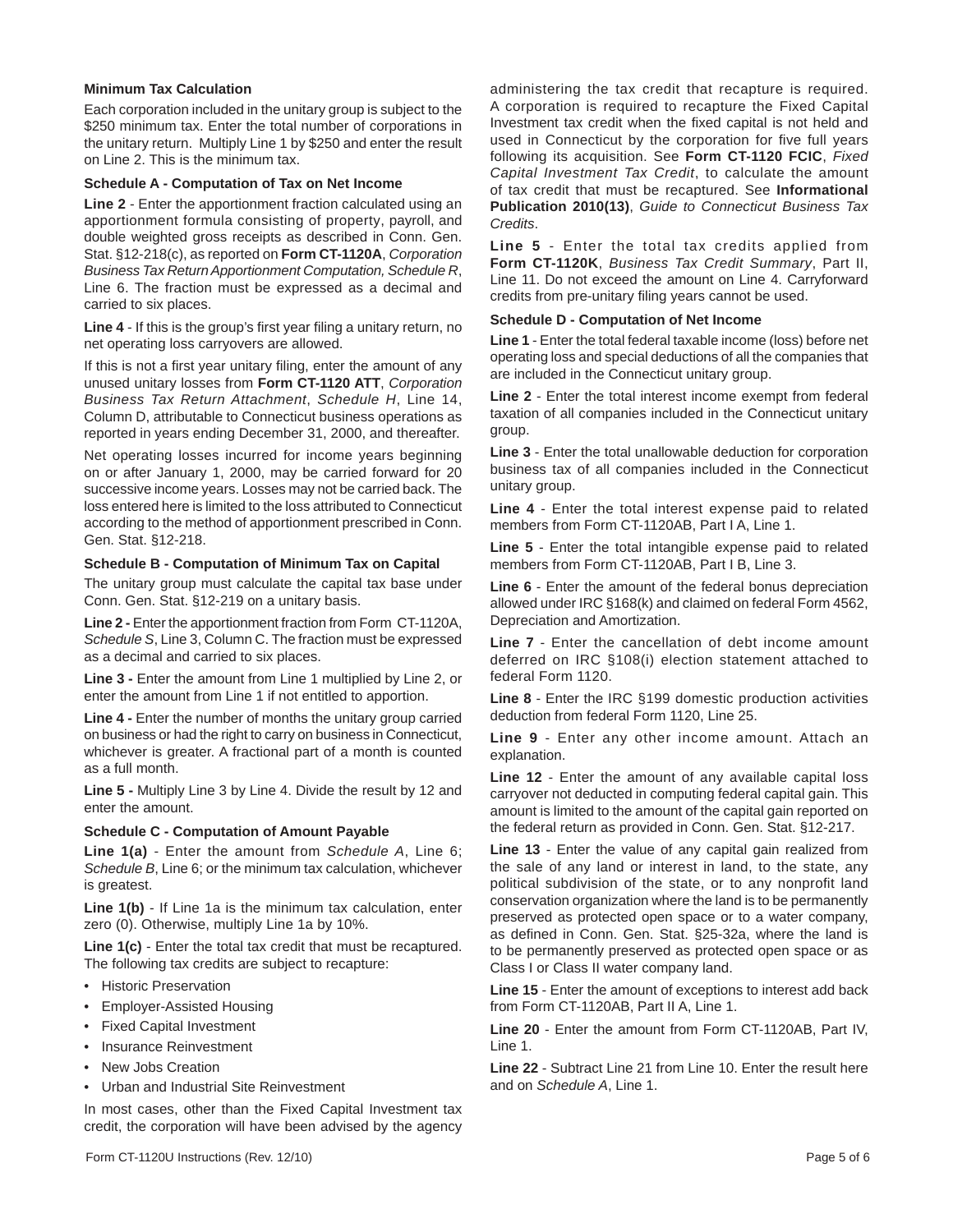# **Minimum Tax Calculation**

Each corporation included in the unitary group is subject to the \$250 minimum tax. Enter the total number of corporations in the unitary return. Multiply Line 1 by \$250 and enter the result on Line 2. This is the minimum tax.

#### **Schedule A - Computation of Tax on Net Income**

**Line 2** - Enter the apportionment fraction calculated using an apportionment formula consisting of property, payroll, and double weighted gross receipts as described in Conn. Gen. Stat. §12-218(c), as reported on **Form CT-1120A**, *Corporation Business Tax Return Apportionment Computation, Schedule R*, Line 6. The fraction must be expressed as a decimal and carried to six places.

**Line 4** - If this is the group's first year filing a unitary return, no net operating loss carryovers are allowed.

If this is not a first year unitary filing, enter the amount of any unused unitary losses from **Form CT-1120 ATT**, *Corporation Business Tax Return Attachment*, *Schedule H*, Line 14, Column D, attributable to Connecticut business operations as reported in years ending December 31, 2000, and thereafter.

Net operating losses incurred for income years beginning on or after January 1, 2000, may be carried forward for 20 successive income years. Losses may not be carried back. The loss entered here is limited to the loss attributed to Connecticut according to the method of apportionment prescribed in Conn. Gen. Stat. §12-218.

#### **Schedule B - Computation of Minimum Tax on Capital**

The unitary group must calculate the capital tax base under Conn. Gen. Stat. §12-219 on a unitary basis.

**Line 2 -** Enter the apportionment fraction from Form CT-1120A, *Schedule S*, Line 3, Column C. The fraction must be expressed as a decimal and carried to six places.

**Line 3 -** Enter the amount from Line 1 multiplied by Line 2, or enter the amount from Line 1 if not entitled to apportion.

**Line 4 -** Enter the number of months the unitary group carried on business or had the right to carry on business in Connecticut, whichever is greater. A fractional part of a month is counted as a full month.

**Line 5 -** Multiply Line 3 by Line 4. Divide the result by 12 and enter the amount.

#### **Schedule C - Computation of Amount Payable**

**Line 1(a)** - Enter the amount from *Schedule A*, Line 6; *Schedule B*, Line 6; or the minimum tax calculation, whichever is greatest.

**Line 1(b)** - If Line 1a is the minimum tax calculation, enter zero (0). Otherwise, multiply Line 1a by 10%.

**Line 1(c)** - Enter the total tax credit that must be recaptured. The following tax credits are subject to recapture:

- **Historic Preservation**
- Employer-Assisted Housing
- Fixed Capital Investment
- Insurance Reinvestment
- New Jobs Creation
- Urban and Industrial Site Reinvestment

In most cases, other than the Fixed Capital Investment tax credit, the corporation will have been advised by the agency administering the tax credit that recapture is required. A corporation is required to recapture the Fixed Capital Investment tax credit when the fixed capital is not held and used in Connecticut by the corporation for five full years following its acquisition. See **Form CT-1120 FCIC**, *Fixed Capital Investment Tax Credit*, to calculate the amount of tax credit that must be recaptured. See **Informational Publication 2010(13)**, *Guide to Connecticut Business Tax Credits*.

**Line 5** - Enter the total tax credits applied from **Form CT-1120K**, *Business Tax Credit Summary*, Part II, Line 11. Do not exceed the amount on Line 4. Carryforward credits from pre-unitary filing years cannot be used.

### **Schedule D - Computation of Net Income**

**Line 1** - Enter the total federal taxable income (loss) before net operating loss and special deductions of all the companies that are included in the Connecticut unitary group.

**Line 2** - Enter the total interest income exempt from federal taxation of all companies included in the Connecticut unitary group.

**Line 3** - Enter the total unallowable deduction for corporation business tax of all companies included in the Connecticut unitary group.

**Line 4** - Enter the total interest expense paid to related members from Form CT-1120AB, Part I A, Line 1.

**Line 5** - Enter the total intangible expense paid to related members from Form CT-1120AB, Part I B, Line 3.

**Line 6** - Enter the amount of the federal bonus depreciation allowed under IRC §168(k) and claimed on federal Form 4562, Depreciation and Amortization.

**Line 7** - Enter the cancellation of debt income amount deferred on IRC §108(i) election statement attached to federal Form 1120.

**Line 8** - Enter the IRC §199 domestic production activities deduction from federal Form 1120, Line 25.

**Line 9** - Enter any other income amount. Attach an explanation.

**Line 12** - Enter the amount of any available capital loss carryover not deducted in computing federal capital gain. This amount is limited to the amount of the capital gain reported on the federal return as provided in Conn. Gen. Stat. §12-217.

**Line 13** - Enter the value of any capital gain realized from the sale of any land or interest in land, to the state, any political subdivision of the state, or to any nonprofit land conservation organization where the land is to be permanently preserved as protected open space or to a water company, as defined in Conn. Gen. Stat. §25-32a, where the land is to be permanently preserved as protected open space or as Class I or Class II water company land.

**Line 15** - Enter the amount of exceptions to interest add back from Form CT-1120AB, Part II A, Line 1.

**Line 20** - Enter the amount from Form CT-1120AB, Part IV, Line 1.

**Line 22** - Subtract Line 21 from Line 10. Enter the result here and on *Schedule A*, Line 1.